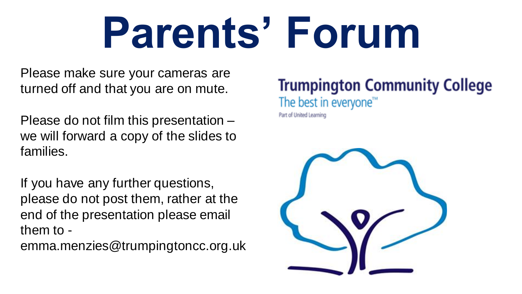# **Parents' Forum**

Please make sure your cameras are turned off and that you are on mute.

Please do not film this presentation – we will forward a copy of the slides to families.

If you have any further questions, please do not post them, rather at the end of the presentation please email them to -

emma.menzies@trumpingtoncc.org.uk

# **Trumpington Community College**

The best in everyone<sup>™</sup>

Part of United Learning

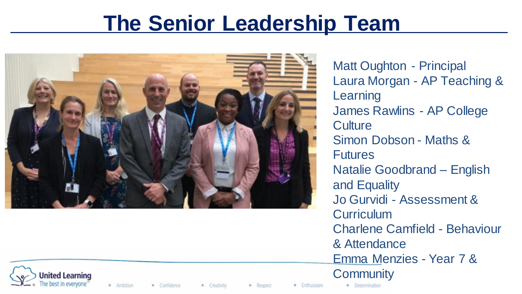# **The Senior Leadership Team**



Matt Oughton - Principal Laura Morgan - AP Teaching & **Learning** James Rawlins - AP College **Culture** Simon Dobson - Maths & **Futures** Natalie Goodbrand – English and Equality Jo Gurvidi - Assessment & **Curriculum** Charlene Camfield - Behaviour & Attendance Emma Menzies - Year 7 & **Community** 



· Ambition Confidence · Creativity

Respect

**Enthusiasm**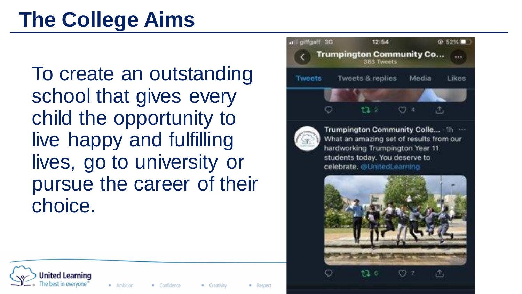# **The College Aims**

To create an outstanding school that gives every child the opportunity to live happy and fulfilling lives, go to university or pursue the career of their choice.





Trumpington Community Colle... 1h ... What an amazing set of results from our hardworking Trumpington Year 11 students today. You deserve to celebrate, @UnitedLearning





· Creativity

- Respect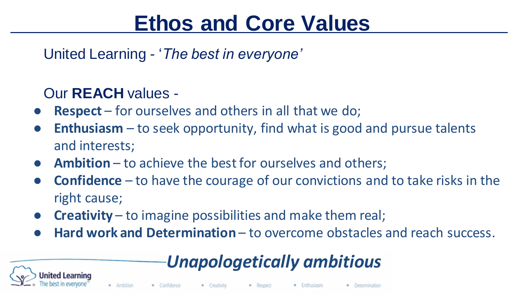# **Ethos and Core Values**

United Learning - '*The best in everyone'*

# Our **REACH** values -

- **Respect** for ourselves and others in all that we do;
- **Enthusiasm** to seek opportunity, find what is good and pursue talents and interests;
- **Ambition** to achieve the best for ourselves and others;
- **Confidence** to have the courage of our convictions and to take risks in the right cause;
- **Creativity** to imagine possibilities and make them real;
- **Hard work and Determination** to overcome obstacles and reach success.

# *Unapologetically ambitious*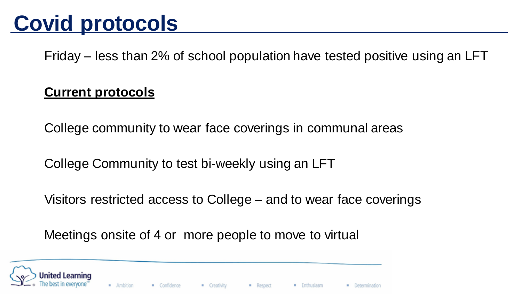# **Covid protocols**

Friday – less than 2% of school population have tested positive using an LFT

## **Current protocols**

College community to wear face coverings in communal areas

College Community to test bi-weekly using an LFT

Visitors restricted access to College – and to wear face coverings

Meetings onsite of 4 or more people to move to virtual

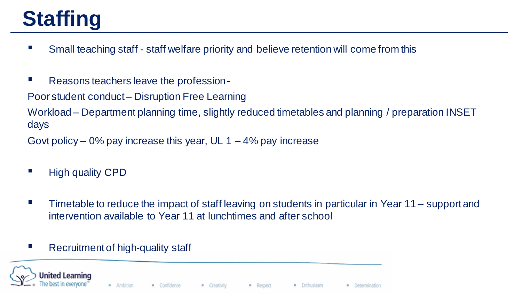# **Staffing**

- Small teaching staff staff welfare priority and believe retention will come from this
- Reasons teachers leave the profession -

Poor student conduct – Disruption Free Learning

Workload – Department planning time, slightly reduced timetables and planning / preparation INSET days

Govt policy – 0% pay increase this year, UL  $1 - 4\%$  pay increase

- **E** High quality CPD
- Timetable to reduce the impact of staff leaving on students in particular in Year 11 support and intervention available to Year 11 at lunchtimes and after school

### Recruitment of high-quality staff



· Creativity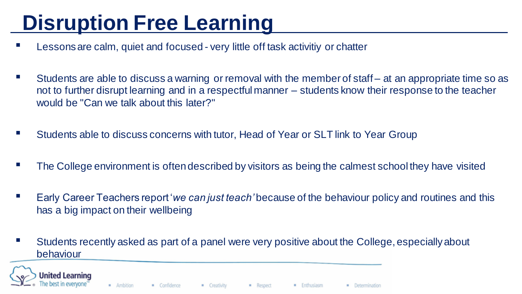# **Disruption Free Learning**

- Lessons are calm, quiet and focused very little off task activitiy or chatter
- Students are able to discuss a warning or removal with the member of staff at an appropriate time so as not to further disrupt learning and in a respectful manner – students know their response to the teacher would be "Can we talk about this later?"
- Students able to discuss concerns with tutor, Head of Year or SLT link to Year Group
- The College environment is often described by visitors as being the calmest school they have visited
- Early Career Teachers report *'we can just teach'* because of the behaviour policy and routines and this has a big impact on their wellbeing
- Students recently asked as part of a panel were very positive about the College, especially about behaviour



- Creativity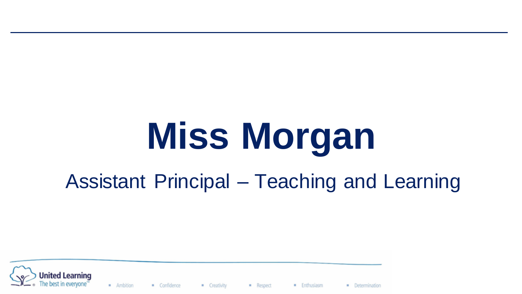# **Miss Morgan**

# Assistant Principal – Teaching and Learning



· Ambition · Confidence

· Creativity

Respect

**Enthusiasm**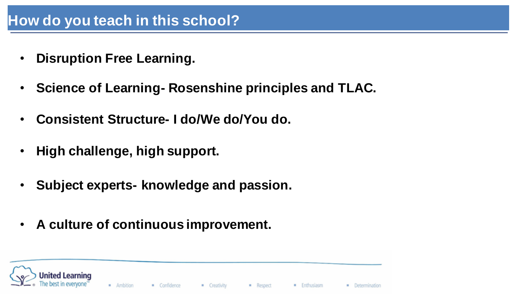## **How do you teach in this school?**

- **Disruption Free Learning.**
- **Science of Learning- Rosenshine principles and TLAC.**
- **Consistent Structure- I do/We do/You do.**
- **High challenge, high support.**
- **Subject experts- knowledge and passion.**
- **A culture of continuous improvement.**

· Ambition Confidence **E** Creativity Respect **Enthusiasm B** Determination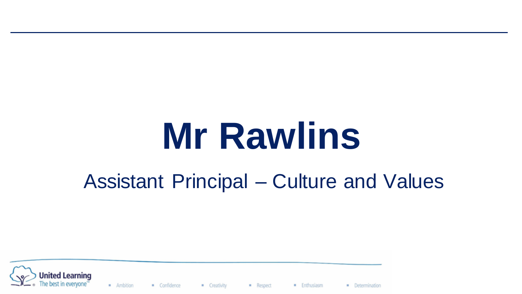# **Mr Rawlins**

# Assistant Principal – Culture and Values



 $A<sub>m</sub>$  Ambition Confidence

**E** Creativity

- Respect **Enthusiasm**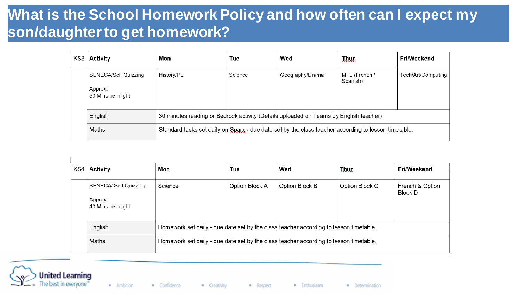## **What is the School Homework Policy and how often can I expect my son/daughter to get homework?**

| KS3 | <b>Activity</b>                                      | Mon                                                                                                  | Tue     | Wed             | <b>July</b>               | Fri/Weekend        |
|-----|------------------------------------------------------|------------------------------------------------------------------------------------------------------|---------|-----------------|---------------------------|--------------------|
|     | SENECA/Self Quizzing<br>Approx.<br>30 Mins per night | History/PE                                                                                           | Science | Geography/Drama | MFL (French /<br>Spanish) | Tech/Art/Computing |
|     | English                                              | 30 minutes reading or Bedrock activity (Details uploaded on Teams by English teacher)                |         |                 |                           |                    |
|     | Maths                                                | Standard tasks set daily on Sparx - due date set by the class teacher according to lesson timetable. |         |                 |                           |                    |

| KS4 | Activity                                              | Mon                                                                                   | Tue            | Wed            | <b>J.hur</b>   | Fri/Weekend                |
|-----|-------------------------------------------------------|---------------------------------------------------------------------------------------|----------------|----------------|----------------|----------------------------|
|     | SENECA/ Self Quizzing<br>Approx.<br>40 Mins per night | Science                                                                               | Option Block A | Option Block B | Option Block C | French & Option<br>Block D |
|     | English                                               | Homework set daily - due date set by the class teacher according to lesson timetable. |                |                |                |                            |
|     | Maths                                                 | Homework set daily - due date set by the class teacher according to lesson timetable. |                |                |                |                            |



- Creativity

**Enthusiasm**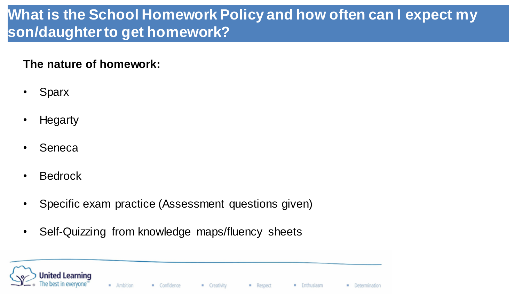# **What is the School Homework Policy and how often can I expect my son/daughter to get homework?**

### **The nature of homework:**

- Sparx
- Hegarty
- Seneca
- Bedrock
- Specific exam practice (Assessment questions given)
- Self-Quizzing from knowledge maps/fluency sheets

Jnited Learning · Ambition · Confidence - Creativity Respect **Enthusiasm** · Determination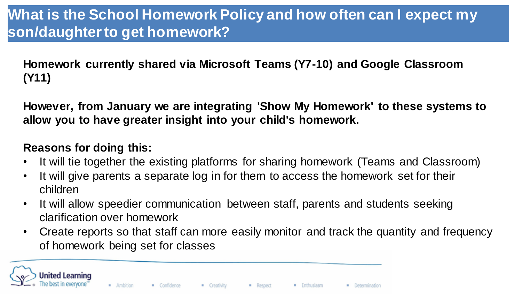**Homework currently shared via Microsoft Teams (Y7-10) and Google Classroom (Y11)**

**However, from January we are integrating 'Show My Homework' to these systems to allow you to have greater insight into your child's homework.**

### **Reasons for doing this:**

- It will tie together the existing platforms for sharing homework (Teams and Classroom)
- It will give parents a separate log in for them to access the homework set for their children
- It will allow speedier communication between staff, parents and students seeking clarification over homework
- Create reports so that staff can more easily monitor and track the quantity and frequency of homework being set for classes

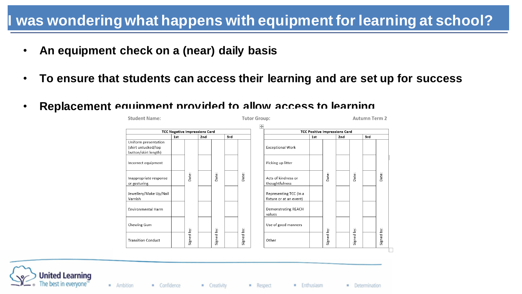## **I was wondering what happens with equipment for learning at school?**

- **An equipment check on a (near) daily basis**
- **To ensure that students can access their learning and are set up for success**
- **Replacement equipment provided to allow access to learning**





**Enthusiasm**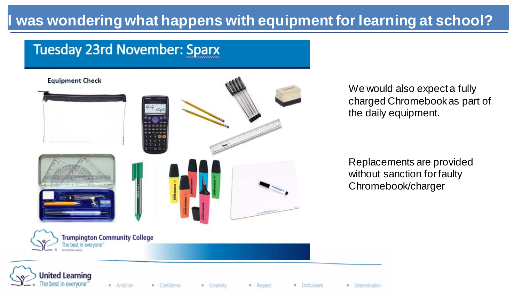# **Was wondering what happens with equipment for learning at school?**

## **Tuesday 23rd November: Sparx**



We would also expect a fully charged Chromebook as part of the daily equipment.

Replacements are provided without sanction for faulty Chromebook/charger



· Creativity

- Respect

**Enthusiasm**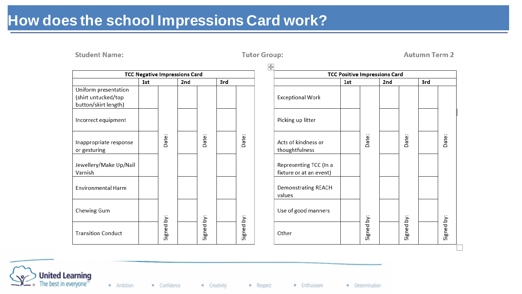# **How does the school Impressions Card work?**

**Student Name:** 

|                           |     |            | <b>TCC Negative Impressions Card</b> |            |     |            |
|---------------------------|-----|------------|--------------------------------------|------------|-----|------------|
|                           | 1st |            | 2nd                                  |            | 3rd |            |
| Uniform presentation      |     |            |                                      |            |     |            |
| (shirt untucked/top       |     |            |                                      |            |     |            |
| button/skirt length)      |     |            |                                      |            |     |            |
| Incorrect equipment       |     |            |                                      |            |     |            |
| Inappropriate response    |     | Date:      |                                      | Date:      |     | Date:      |
| or gesturing              |     |            |                                      |            |     |            |
|                           |     |            |                                      |            |     |            |
| Jewellery/Make Up/Nail    |     |            |                                      |            |     |            |
| Varnish                   |     |            |                                      |            |     |            |
| <b>Environmental Harm</b> |     |            |                                      |            |     |            |
| Chewing Gum               |     |            |                                      |            |     |            |
| <b>Transition Conduct</b> |     | Signed by: |                                      | Signed by: |     | Signed by: |

 $\overline{+}$ **TCC Positive Impressions Card**  $3rd$ 1st 2nd **Exceptional Work** Picking up litter Date: Date: Date: Acts of kindness or thoughtfulness Representing TCC (In a fixture or at an event) **Demonstrating REACH** values Use of good manners Signed by: Signed by: Signed by: Other

**Autumn Term 2** 



- Ambition Confidence **E** Creativity

Respect

· Enthusiasm

**Tutor Group:**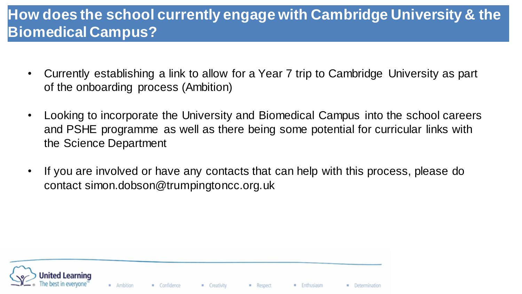# **How does the school currently engage with Cambridge University & the Biomedical Campus?**

- Currently establishing a link to allow for a Year 7 trip to Cambridge University as part of the onboarding process (Ambition)
- Looking to incorporate the University and Biomedical Campus into the school careers and PSHE programme as well as there being some potential for curricular links with the Science Department
- If you are involved or have any contacts that can help with this process, please do contact simon.dobson@trumpingtoncc.org.uk

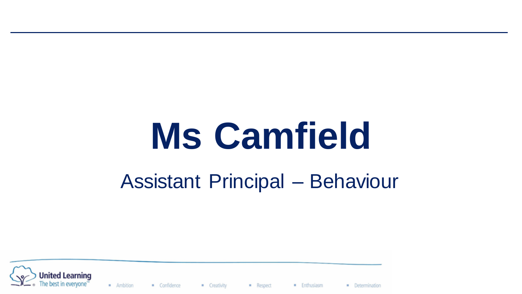# **Ms Camfield**

# Assistant Principal – Behaviour



 $A<sub>m</sub>$  Ambition Confidence

- Creativity

- Respect **Enthusiasm**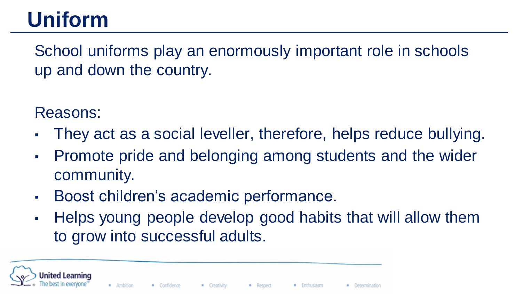# **Uniform**

School uniforms play an enormously important role in schools up and down the country.

Reasons:

- They act as a social leveller, therefore, helps reduce bullying.
- Promote pride and belonging among students and the wider community.
- Boost children's academic performance.
- Helps young people develop good habits that will allow them to grow into successful adults.

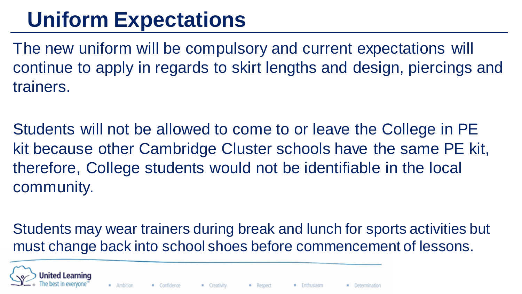# **Uniform Expectations**

The new uniform will be compulsory and current expectations will continue to apply in regards to skirt lengths and design, piercings and trainers.

Students will not be allowed to come to or leave the College in PE kit because other Cambridge Cluster schools have the same PE kit, therefore, College students would not be identifiable in the local community.

Students may wear trainers during break and lunch for sports activities but must change back into school shoes before commencement of lessons.



**Enthusiasm**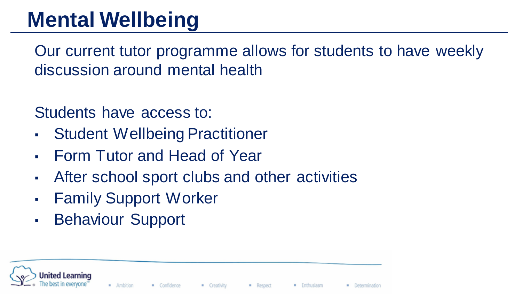# **Mental Wellbeing**

Our current tutor programme allows for students to have weekly discussion around mental health

## Students have access to:

- **Student Wellbeing Practitioner**
- **Form Tutor and Head of Year**
- After school sport clubs and other activities
- **Family Support Worker**
- Behaviour Support

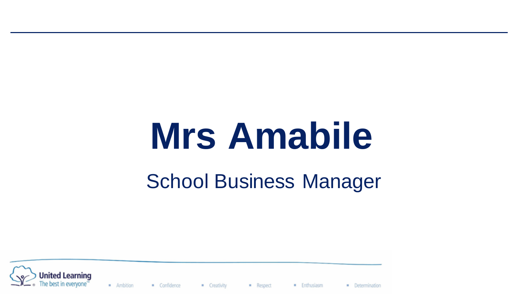# **Mrs Amabile**

# School Business Manager



· Ambition Confidence

· Creativity

Respect **Enthusiasm**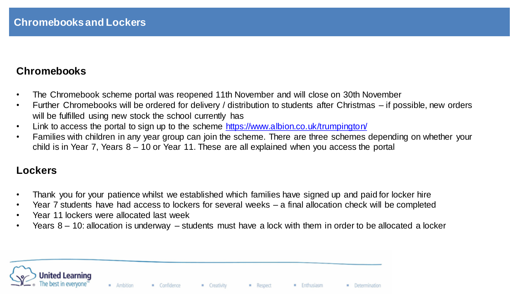#### **Chromebooks**

- The Chromebook scheme portal was reopened 11th November and will close on 30th November
- Further Chromebooks will be ordered for delivery / distribution to students after Christmas if possible, new orders will be fulfilled using new stock the school currently has
- Link to access the portal to sign up to the scheme <https://www.albion.co.uk/trumpington/>
- Families with children in any year group can join the scheme. There are three schemes depending on whether your child is in Year 7, Years 8 – 10 or Year 11. These are all explained when you access the portal

#### **Lockers**

- Thank you for your patience whilst we established which families have signed up and paid for locker hire
- Year 7 students have had access to lockers for several weeks a final allocation check will be completed
- Year 11 lockers were allocated last week
- Years 8 10: allocation is underway students must have a lock with them in order to be allocated a locker

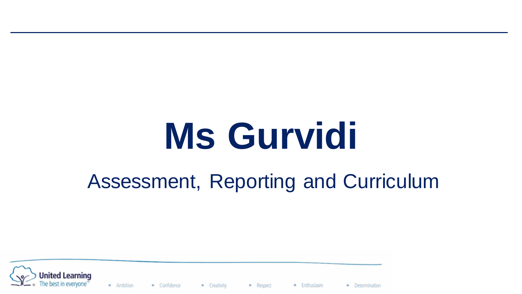# **Ms Gurvidi**

# Assessment, Reporting and Curriculum



· Ambition Confidence

· Creativity

Respect **Enthusiasm**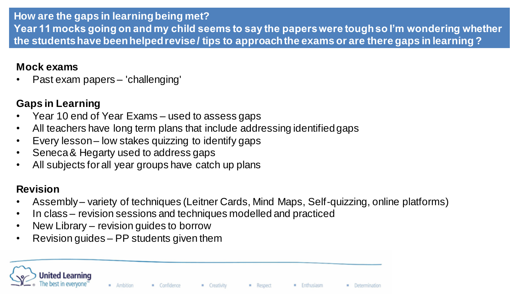#### **How are the gaps in learning being met?**

**Year 11 mocks going on and my child seems to say the papers were tough so I'm wondering whether the students have been helped revise / tips to approach the exams or are there gaps in learning ?**

#### **Mock exams**

• Past exam papers – 'challenging'

### **Gaps in Learning**

- Year 10 end of Year Exams used to assess gaps
- All teachers have long term plans that include addressing identified gaps
- Every lesson low stakes quizzing to identify gaps
- Seneca & Hegarty used to address gaps
- All subjects for all year groups have catch up plans

### **Revision**

- Assembly variety of techniques (Leitner Cards, Mind Maps, Self-quizzing, online platforms)
- In class revision sessions and techniques modelled and practiced
- New Library revision guides to borrow
- Revision guides PP students given them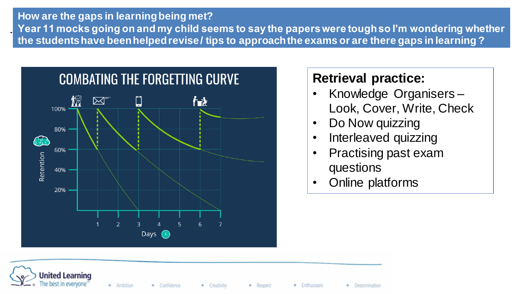### **How are the gaps in learning being met? Year 11 mocks going on and my child seems to say the papers were tough so I'm wondering whether the students have been helped revise / tips to approach the exams or are there gaps in learning ?**



## **Retrieval practice:**

- Knowledge Organisers Look, Cover, Write, Check
- Do Now quizzing
- Interleaved quizzing
- Practising past exam questions
- Online platforms



- Creativity

Respect **Enthusiasm**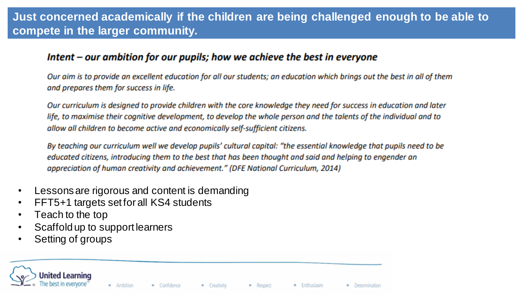### **Just concerned academically if the children are being challenged enough to be able to compete in the larger community.**

#### $l$ ntent – our ambition for our pupils; how we achieve the best in everyone

Our aim is to provide an excellent education for all our students; an education which brings out the best in all of them and prepares them for success in life.

Our curriculum is designed to provide children with the core knowledge they need for success in education and later life, to maximise their cognitive development, to develop the whole person and the talents of the individual and to allow all children to become active and economically self-sufficient citizens.

By teaching our curriculum well we develop pupils' cultural capital: "the essential knowledge that pupils need to be educated citizens, introducing them to the best that has been thought and said and helping to engender an appreciation of human creativity and achievement." (DFE National Curriculum, 2014)

- Lessons are rigorous and content is demanding
- FFT5+1 targets set for all KS4 students
- Teach to the top
- Scaffold up to support learners
- Setting of groups



- Creativity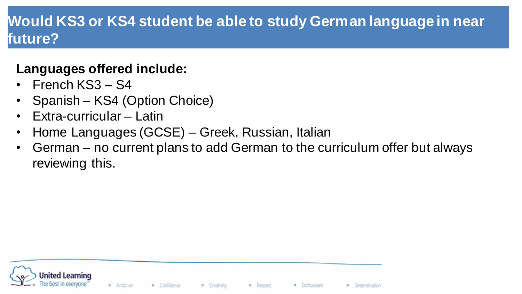# **Would KS3 or KS4 student be able to study German language in near future?**

## **Languages offered include:**

- French KS3 S4
- Spanish KS4 (Option Choice)
- Extra-curricular Latin
- Home Languages (GCSE) Greek, Russian, Italian
- German no current plans to add German to the curriculum offer but always reviewing this.



**Enthusiasm**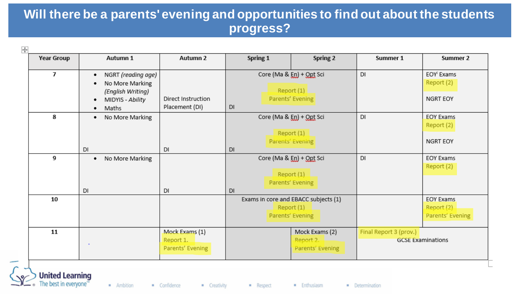### **Will there be a parents' evening and opportunities to find out about the students progress?**

| $\overline{1}$<br>Core (Ma & En) + Opt Sci<br><b>DI</b><br>EOY <sup>i</sup> Exams<br>NGRT (reading age)<br>٠<br>Report (2)<br>No More Marking<br>٠<br>Report(1)<br>(English Writing)<br>Parents' Evening<br>NGRT EOY<br>Direct Instruction<br>MIDYIS - Ability<br>٠<br>Placement (DI)<br>DI<br>Maths<br>٠<br>8<br><b>DI</b><br>Core (Ma & En) + Opt Sci<br><b>EOY Exams</b><br>No More Marking<br>٠<br>Report (2)<br>Report $(1)$<br>Parents' Evening<br><b>NGRT EOY</b><br><b>DI</b><br><b>DI</b><br><b>DI</b><br><b>DI</b><br>9<br>Core (Ma & En) + Opt Sci<br><b>EOY Exams</b><br>No More Marking<br>٠<br>Report (2)<br>Report (1)<br>Parents' Evening<br><b>DI</b><br>DI<br><b>DI</b><br>10<br>Exams in core and EBACC subjects (1)<br><b>EOY Exams</b><br>Report $(1)$<br>Report (2)<br>m.<br>Parents' Evening<br>Parents' Evening<br>Mock Exams (1)<br>11<br>Mock Exams (2)<br>Final Report 3 (prov.)<br>Report 1.<br>Report 2.<br><b>GCSE Examinations</b><br>Parents' Evening<br>Parents' Evening | <b>Year Group</b> | Autumn 1 | Autumn 2 | Spring 1 | Spring 2 | Summer 1 | Summer 2 |
|-----------------------------------------------------------------------------------------------------------------------------------------------------------------------------------------------------------------------------------------------------------------------------------------------------------------------------------------------------------------------------------------------------------------------------------------------------------------------------------------------------------------------------------------------------------------------------------------------------------------------------------------------------------------------------------------------------------------------------------------------------------------------------------------------------------------------------------------------------------------------------------------------------------------------------------------------------------------------------------------------------------|-------------------|----------|----------|----------|----------|----------|----------|
|                                                                                                                                                                                                                                                                                                                                                                                                                                                                                                                                                                                                                                                                                                                                                                                                                                                                                                                                                                                                           |                   |          |          |          |          |          |          |
|                                                                                                                                                                                                                                                                                                                                                                                                                                                                                                                                                                                                                                                                                                                                                                                                                                                                                                                                                                                                           |                   |          |          |          |          |          |          |
|                                                                                                                                                                                                                                                                                                                                                                                                                                                                                                                                                                                                                                                                                                                                                                                                                                                                                                                                                                                                           |                   |          |          |          |          |          |          |
|                                                                                                                                                                                                                                                                                                                                                                                                                                                                                                                                                                                                                                                                                                                                                                                                                                                                                                                                                                                                           |                   |          |          |          |          |          |          |
|                                                                                                                                                                                                                                                                                                                                                                                                                                                                                                                                                                                                                                                                                                                                                                                                                                                                                                                                                                                                           |                   |          |          |          |          |          |          |

· Ambition

Confidence

nited Learning

- Creativity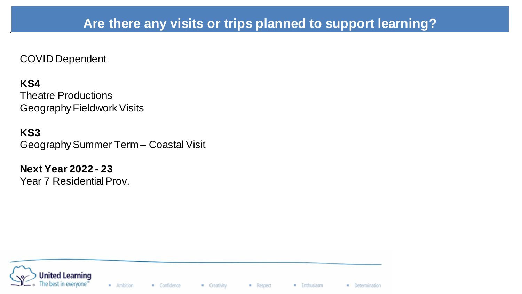### **Are there any visits or trips planned to support learning?**

- Respect

**Enthusiasm** 

· Determination

COVID Dependent

#### **KS4**

Theatre Productions Geography Fieldwork Visits

**KS3** Geography Summer Term – Coastal Visit

**Next Year 2022 - 23** Year 7 Residential Prov.

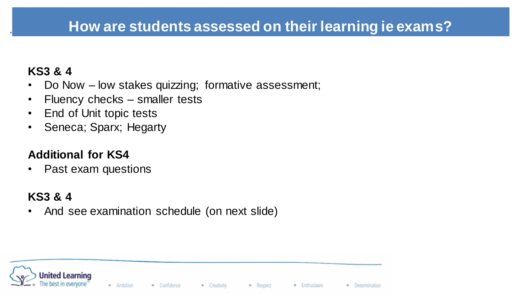## **How are students assessed on their learning ie exams?**

### **KS3 & 4**

- Do Now low stakes quizzing; formative assessment;
- Fluency checks smaller tests
- End of Unit topic tests
- Seneca; Sparx; Hegarty

### **Additional for KS4**

• Past exam questions

### **KS3 & 4**

• And see examination schedule (on next slide)



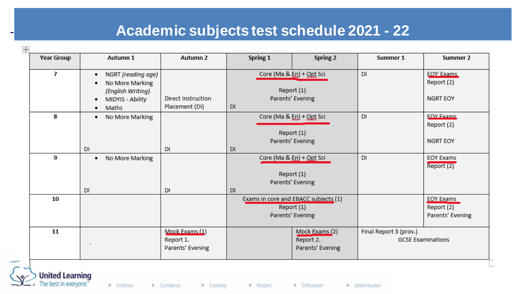# **Academic subjects test schedule 2021 - 22**

| <b>Year Group</b> | Autumn 1                                                                                                       | Autumn 2                                        | Spring 1                                                   | Spring 2                                                              | Summer 1               | Summer 2                                                        |
|-------------------|----------------------------------------------------------------------------------------------------------------|-------------------------------------------------|------------------------------------------------------------|-----------------------------------------------------------------------|------------------------|-----------------------------------------------------------------|
| $\overline{1}$    | NGRT (reading age)<br>٠<br>No More Marking<br>(English Writing)<br>Direct Instruction<br>MIDYIS - Ability<br>٠ |                                                 | Core (Ma & En) + Opt Sci<br>Report (1)<br>Parents' Evening |                                                                       | DI                     | <b>EOY</b> <sup>i</sup> Exams<br>Report (2)<br>NGRT EOY         |
|                   | Maths<br>٠                                                                                                     | Placement (DI)                                  | DI                                                         |                                                                       |                        |                                                                 |
| 8                 | No More Marking<br>٠                                                                                           |                                                 |                                                            | Core (Ma & En) + Opt Sci<br>Report (1)                                | DI                     | <b>EOV Exams</b><br>Report (2)                                  |
|                   | DI                                                                                                             | <b>DI</b>                                       | <b>DI</b>                                                  | Parents' Evening                                                      |                        | NGRT EOY                                                        |
| 9                 | No More Marking<br>٠                                                                                           |                                                 |                                                            | Core (Ma & En) + Opt Sci<br>Report (1)<br>Parents' Evening            | DI                     | <b>EOY Exams</b><br>Report (2)                                  |
|                   | <b>DI</b>                                                                                                      | <b>DI</b>                                       | <b>DI</b>                                                  |                                                                       |                        |                                                                 |
| 10                |                                                                                                                |                                                 |                                                            | Exams in core and EBACC subjects (1)<br>Report(1)<br>Parents' Evening |                        | <b>EOY Exams</b><br>Report $\overline{(2)}$<br>Parents' Evening |
| 11                |                                                                                                                | Mock Exams (1)<br>Report 1.<br>Parents' Evening | Mock Exams (2)<br>Report 2.<br>Parents' Evening            |                                                                       | Final Report 3 (prov.) | <b>GCSE Examinations</b>                                        |

· Ambition

Confidence

The best in everyone<sup>®</sup>

- Creativity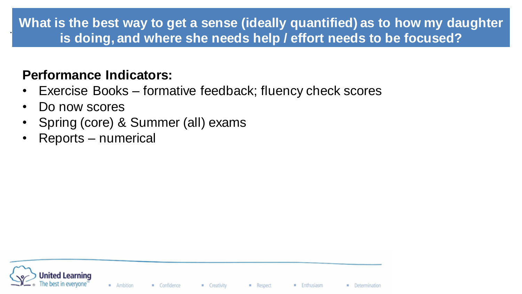## **What is the best way to get a sense (ideally quantified) as to how my daughter is doing, and where she needs help / effort needs to be focused?**

## **Performance Indicators:**

- Exercise Books formative feedback; fluency check scores
- Do now scores
- Spring (core) & Summer (all) exams
- Reports numerical

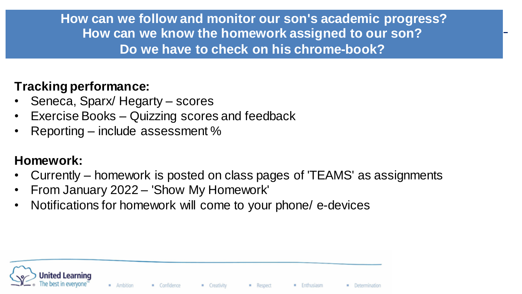**How can we follow and monitor our son's academic progress? How can we know the homework assigned to our son? Do we have to check on his chrome-book?**

## **Tracking performance:**

- Seneca, Sparx/ Hegarty scores
- Exercise Books Quizzing scores and feedback
- Reporting include assessment %

## **Homework:**

- Currently homework is posted on class pages of 'TEAMS' as assignments
- From January 2022 'Show My Homework'
- Notifications for homework will come to your phone/ e-devices

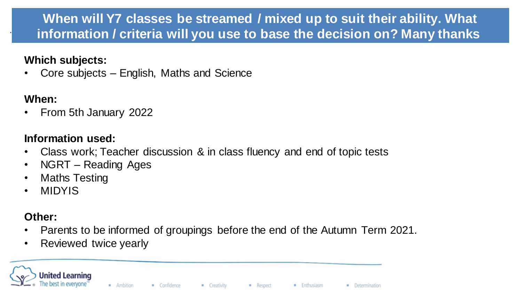## **When will Y7 classes be streamed / mixed up to suit their ability. What information / criteria will you use to base the decision on? Many thanks**

### **Which subjects:**

• Core subjects – English, Maths and Science

### **When:**

• From 5th January 2022

### **Information used:**

- Class work; Teacher discussion & in class fluency and end of topic tests
- NGRT Reading Ages
- Maths Testing
- MIDYIS

### **Other:**

- Parents to be informed of groupings before the end of the Autumn Term 2021.
- Reviewed twice yearly